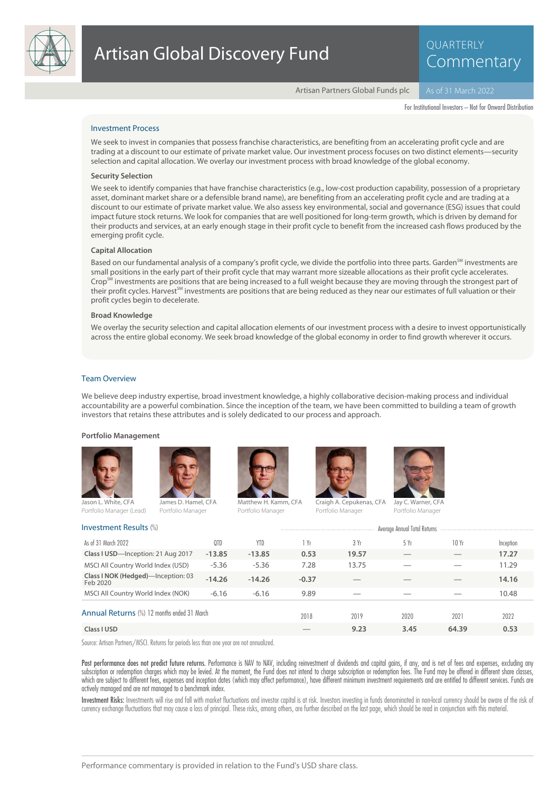

QUARTERLY Commentary

Artisan Partners Global Funds plc

For Institutional Investors – Not for Onward Distribution

## Investment Process

We seek to invest in companies that possess franchise characteristics, are benefiting from an accelerating profit cycle and are trading at a discount to our estimate of private market value. Our investment process focuses on two distinct elements—security selection and capital allocation. We overlay our investment process with broad knowledge of the global economy.

#### **Security Selection**

We seek to identify companies that have franchise characteristics (e.g., low-cost production capability, possession of a proprietary asset, dominant market share or a defensible brand name), are benefiting from an accelerating profit cycle and are trading at a discount to our estimate of private market value. We also assess key environmental, social and governance (ESG) issues that could impact future stock returns. We look for companies that are well positioned for long-term growth, which is driven by demand for their products and services, at an early enough stage in their profit cycle to benefit from the increased cash flows produced by the emerging profit cycle.

#### **Capital Allocation**

Based on our fundamental analysis of a company's profit cycle, we divide the portfolio into three parts. Garden<sup>SM</sup> investments are small positions in the early part of their profit cycle that may warrant more sizeable allocations as their profit cycle accelerates. Crop $^{5M}$  investments are positions that are being increased to a full weight because they are moving through the strongest part of their profit cycles. Harvest<sup>SM</sup> investments are positions that are being reduced as they near our estimates of full valuation or their profit cycles begin to decelerate.

#### **Broad Knowledge**

We overlay the security selection and capital allocation elements of our investment process with a desire to invest opportunistically across the entire global economy. We seek broad knowledge of the global economy in order to find growth wherever it occurs.

### Team Overview

We believe deep industry expertise, broad investment knowledge, a highly collaborative decision-making process and individual accountability are a powerful combination. Since the inception of the team, we have been committed to building a team of growth investors that retains these attributes and is solely dedicated to our process and approach.

#### **Portfolio Management**







Matthew H. Kamm, CFA Portfolio Manager



Craigh A. Cepukenas, CFA Portfolio Manager



Portfolio Manager

| Investment Results (%)                         | Average Annual Total Returns |            |         |       |      |       |           |
|------------------------------------------------|------------------------------|------------|---------|-------|------|-------|-----------|
| As of 31 March 2022                            | 0TD                          | <b>YTD</b> | i Yr    | 3 Yr  | 5 Yr | 10Yr  | Inception |
| Class I USD-Inception: 21 Aug 2017             | $-13.85$                     | $-13.85$   | 0.53    | 19.57 |      |       | 17.27     |
| MSCI All Country World Index (USD)             | $-5.36$                      | $-5.36$    | 7.28    | 13.75 |      |       | 11.29     |
| Class I NOK (Hedged)-Inception: 03<br>Feb 2020 | $-14.26$                     | $-14.26$   | $-0.37$ |       |      |       | 14.16     |
| MSCI All Country World Index (NOK)             | $-6.16$                      | $-6.16$    | 9.89    |       |      |       | 10.48     |
| Annual Returns (%) 12 months ended 31 March    |                              |            | 2018    | 2019  | 2020 | 2021  | 2022      |
| Class I USD                                    |                              |            |         | 9.23  | 3.45 | 64.39 | 0.53      |

Source: Artisan Partners/MSCI. Returns for periods less than one year are not annualized.

Past performance does not predict future returns. Performance is NAV to NAV, including reinvestment of dividends and capital gains, if any, and is net of fees and expenses, excluding any subscription or redemption charges which may be levied. At the moment, the Fund does not intend to charge subscription or redemption fees. The Fund may be offered in different share classes, which are subject to different fees, expenses and inception dates (which may affect performance), have different minimum investment requirements and are entitled to different services. Funds are actively managed and are not managed to a benchmark index.

Investment Risks: Investments will rise and fall with market fluctuations and investor capital is at risk. Investors investing in funds denominated in non-local currency should be aware of the risk of currency exchange fluctuations that may cause a loss of principal. These risks, among others, are further described on the last page, which should be read in conjunction with this material.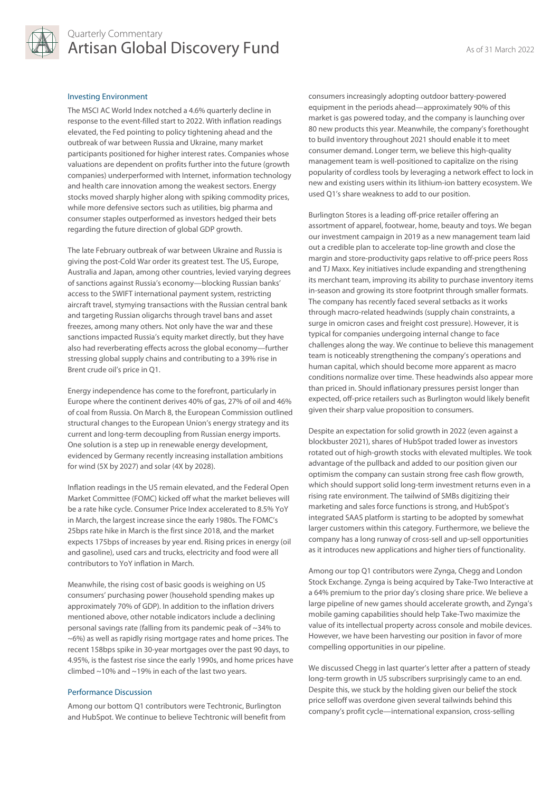

# Quarterly Commentary Artisan Global Discovery Fund<br>As of 31 March 2022

# Investing Environment

The MSCI AC World Index notched a 4.6% quarterly decline in response to the event-filled start to 2022. With inflation readings elevated, the Fed pointing to policy tightening ahead and the outbreak of war between Russia and Ukraine, many market participants positioned for higher interest rates. Companies whose valuations are dependent on profits further into the future (growth companies) underperformed with Internet, information technology and health care innovation among the weakest sectors. Energy stocks moved sharply higher along with spiking commodity prices, while more defensive sectors such as utilities, big pharma and consumer staples outperformed as investors hedged their bets regarding the future direction of global GDP growth.

The late February outbreak of war between Ukraine and Russia is giving the post-Cold War order its greatest test. The US, Europe, Australia and Japan, among other countries, levied varying degrees of sanctions against Russia's economy—blocking Russian banks' access to the SWIFT international payment system, restricting aircraft travel, stymying transactions with the Russian central bank and targeting Russian oligarchs through travel bans and asset freezes, among many others. Not only have the war and these sanctions impacted Russia's equity market directly, but they have also had reverberating effects across the global economy—further stressing global supply chains and contributing to a 39% rise in Brent crude oil's price in Q1.

Energy independence has come to the forefront, particularly in Europe where the continent derives 40% of gas, 27% of oil and 46% of coal from Russia. On March 8, the European Commission outlined structural changes to the European Union's energy strategy and its current and long-term decoupling from Russian energy imports. One solution is a step up in renewable energy development, evidenced by Germany recently increasing installation ambitions for wind (5X by 2027) and solar (4X by 2028).

Inflation readings in the US remain elevated, and the Federal Open Market Committee (FOMC) kicked off what the market believes will be a rate hike cycle. Consumer Price Index accelerated to 8.5% YoY in March, the largest increase since the early 1980s. The FOMC's 25bps rate hike in March is the first since 2018, and the market expects 175bps of increases by year end. Rising prices in energy (oil and gasoline), used cars and trucks, electricity and food were all contributors to YoY inflation in March.

Meanwhile, the rising cost of basic goods is weighing on US consumers' purchasing power (household spending makes up approximately 70% of GDP). In addition to the inflation drivers mentioned above, other notable indicators include a declining personal savings rate (falling from its pandemic peak of ~34% to ~6%) as well as rapidly rising mortgage rates and home prices. The recent 158bps spike in 30-year mortgages over the past 90 days, to 4.95%, is the fastest rise since the early 1990s, and home prices have climbed  $\sim$ 10% and  $\sim$ 19% in each of the last two vears.

#### Performance Discussion

Among our bottom Q1 contributors were Techtronic, Burlington and HubSpot. We continue to believe Techtronic will benefit from consumers increasingly adopting outdoor battery-powered equipment in the periods ahead—approximately 90% of this market is gas powered today, and the company is launching over 80 new products this year. Meanwhile, the company's forethought to build inventory throughout 2021 should enable it to meet consumer demand. Longer term, we believe this high-quality management team is well-positioned to capitalize on the rising popularity of cordless tools by leveraging a network effect to lock in new and existing users within its lithium-ion battery ecosystem. We used Q1's share weakness to add to our position.

Burlington Stores is a leading off-price retailer offering an assortment of apparel, footwear, home, beauty and toys. We began our investment campaign in 2019 as a new management team laid out a credible plan to accelerate top-line growth and close the margin and store-productivity gaps relative to off-price peers Ross and TJ Maxx. Key initiatives include expanding and strengthening its merchant team, improving its ability to purchase inventory items in-season and growing its store footprint through smaller formats. The company has recently faced several setbacks as it works through macro-related headwinds (supply chain constraints, a surge in omicron cases and freight cost pressure). However, it is typical for companies undergoing internal change to face challenges along the way. We continue to believe this management team is noticeably strengthening the company's operations and human capital, which should become more apparent as macro conditions normalize over time. These headwinds also appear more than priced in. Should inflationary pressures persist longer than expected, off-price retailers such as Burlington would likely benefit given their sharp value proposition to consumers.

Despite an expectation for solid growth in 2022 (even against a blockbuster 2021), shares of HubSpot traded lower as investors rotated out of high-growth stocks with elevated multiples. We took advantage of the pullback and added to our position given our optimism the company can sustain strong free cash flow growth, which should support solid long-term investment returns even in a rising rate environment. The tailwind of SMBs digitizing their marketing and sales force functions is strong, and HubSpot's integrated SAAS platform is starting to be adopted by somewhat larger customers within this category. Furthermore, we believe the company has a long runway of cross-sell and up-sell opportunities as it introduces new applications and higher tiers of functionality.

Among our top Q1 contributors were Zynga, Chegg and London Stock Exchange. Zynga is being acquired by Take-Two Interactive at a 64% premium to the prior day's closing share price. We believe a large pipeline of new games should accelerate growth, and Zynga's mobile gaming capabilities should help Take-Two maximize the value of its intellectual property across console and mobile devices. However, we have been harvesting our position in favor of more compelling opportunities in our pipeline.

We discussed Chegg in last quarter's letter after a pattern of steady long-term growth in US subscribers surprisingly came to an end. Despite this, we stuck by the holding given our belief the stock price selloff was overdone given several tailwinds behind this company's profit cycle—international expansion, cross-selling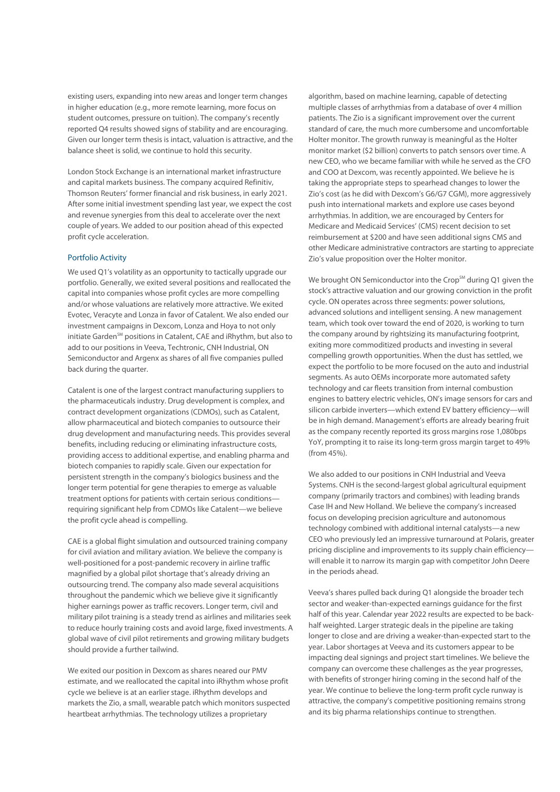existing users, expanding into new areas and longer term changes in higher education (e.g., more remote learning, more focus on student outcomes, pressure on tuition). The company's recently reported Q4 results showed signs of stability and are encouraging. Given our longer term thesis is intact, valuation is attractive, and the balance sheet is solid, we continue to hold this security.

London Stock Exchange is an international market infrastructure and capital markets business. The company acquired Refinitiv, Thomson Reuters' former financial and risk business, in early 2021. After some initial investment spending last year, we expect the cost and revenue synergies from this deal to accelerate over the next couple of years. We added to our position ahead of this expected profit cycle acceleration.

## Portfolio Activity

We used Q1's volatility as an opportunity to tactically upgrade our portfolio. Generally, we exited several positions and reallocated the capital into companies whose profit cycles are more compelling and/or whose valuations are relatively more attractive. We exited Evotec, Veracyte and Lonza in favor of Catalent. We also ended our investment campaigns in Dexcom, Lonza and Hoya to not only initiate Garden<sup>SM</sup> positions in Catalent, CAE and iRhythm, but also to add to our positions in Veeva, Techtronic, CNH Industrial, ON Semiconductor and Argenx as shares of all five companies pulled back during the quarter.

Catalent is one of the largest contract manufacturing suppliers to the pharmaceuticals industry. Drug development is complex, and contract development organizations (CDMOs), such as Catalent, allow pharmaceutical and biotech companies to outsource their drug development and manufacturing needs. This provides several benefits, including reducing or eliminating infrastructure costs, providing access to additional expertise, and enabling pharma and biotech companies to rapidly scale. Given our expectation for persistent strength in the company's biologics business and the longer term potential for gene therapies to emerge as valuable treatment options for patients with certain serious conditions requiring significant help from CDMOs like Catalent—we believe the profit cycle ahead is compelling.

CAE is a global flight simulation and outsourced training company for civil aviation and military aviation. We believe the company is well-positioned for a post-pandemic recovery in airline traffic magnified by a global pilot shortage that's already driving an outsourcing trend. The company also made several acquisitions throughout the pandemic which we believe give it significantly higher earnings power as traffic recovers. Longer term, civil and military pilot training is a steady trend as airlines and militaries seek to reduce hourly training costs and avoid large, fixed investments. A global wave of civil pilot retirements and growing military budgets should provide a further tailwind.

We exited our position in Dexcom as shares neared our PMV estimate, and we reallocated the capital into iRhythm whose profit cycle we believe is at an earlier stage. iRhythm develops and markets the Zio, a small, wearable patch which monitors suspected heartbeat arrhythmias. The technology utilizes a proprietary

algorithm, based on machine learning, capable of detecting multiple classes of arrhythmias from a database of over 4 million patients. The Zio is a significant improvement over the current standard of care, the much more cumbersome and uncomfortable Holter monitor. The growth runway is meaningful as the Holter monitor market (\$2 billion) converts to patch sensors over time. A new CEO, who we became familiar with while he served as the CFO and COO at Dexcom, was recently appointed. We believe he is taking the appropriate steps to spearhead changes to lower the Zio's cost (as he did with Dexcom's G6/G7 CGM), more aggressively push into international markets and explore use cases beyond arrhythmias. In addition, we are encouraged by Centers for Medicare and Medicaid Services' (CMS) recent decision to set reimbursement at \$200 and have seen additional signs CMS and other Medicare administrative contractors are starting to appreciate Zio's value proposition over the Holter monitor.

We brought ON Semiconductor into the Crop<sup>SM</sup> during Q1 given the stock's attractive valuation and our growing conviction in the profit cycle. ON operates across three segments: power solutions, advanced solutions and intelligent sensing. A new management team, which took over toward the end of 2020, is working to turn the company around by rightsizing its manufacturing footprint, exiting more commoditized products and investing in several compelling growth opportunities. When the dust has settled, we expect the portfolio to be more focused on the auto and industrial segments. As auto OEMs incorporate more automated safety technology and car fleets transition from internal combustion engines to battery electric vehicles, ON's image sensors for cars and silicon carbide inverters—which extend EV battery efficiency—will be in high demand. Management's efforts are already bearing fruit as the company recently reported its gross margins rose 1,080bps YoY, prompting it to raise its long-term gross margin target to 49% (from 45%).

We also added to our positions in CNH Industrial and Veeva Systems. CNH is the second-largest global agricultural equipment company (primarily tractors and combines) with leading brands Case IH and New Holland. We believe the company's increased focus on developing precision agriculture and autonomous technology combined with additional internal catalysts—a new CEO who previously led an impressive turnaround at Polaris, greater pricing discipline and improvements to its supply chain efficiency will enable it to narrow its margin gap with competitor John Deere in the periods ahead.

Veeva's shares pulled back during Q1 alongside the broader tech sector and weaker-than-expected earnings guidance for the first half of this year. Calendar year 2022 results are expected to be backhalf weighted. Larger strategic deals in the pipeline are taking longer to close and are driving a weaker-than-expected start to the year. Labor shortages at Veeva and its customers appear to be impacting deal signings and project start timelines. We believe the company can overcome these challenges as the year progresses, with benefits of stronger hiring coming in the second half of the year. We continue to believe the long-term profit cycle runway is attractive, the company's competitive positioning remains strong and its big pharma relationships continue to strengthen.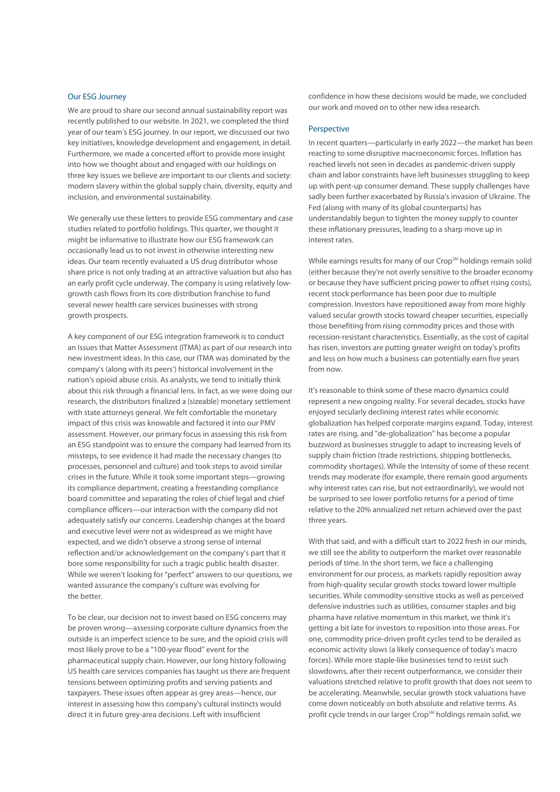# Our ESG Journey

We are proud to share our second annual sustainability report was recently published to our website. In 2021, we completed the third year of our team's ESG journey. In our report, we discussed our two key initiatives, knowledge development and engagement, in detail. Furthermore, we made a concerted effort to provide more insight into how we thought about and engaged with our holdings on three key issues we believe are important to our clients and society: modern slavery within the global supply chain, diversity, equity and inclusion, and environmental sustainability.

We generally use these letters to provide ESG commentary and case studies related to portfolio holdings. This quarter, we thought it might be informative to illustrate how our ESG framework can occasionally lead us to not invest in otherwise interesting new ideas. Our team recently evaluated a US drug distributor whose share price is not only trading at an attractive valuation but also has an early profit cycle underway. The company is using relatively lowgrowth cash flows from its core distribution franchise to fund several newer health care services businesses with strong growth prospects.

A key component of our ESG integration framework is to conduct an Issues that Matter Assessment (ITMA) as part of our research into new investment ideas. In this case, our ITMA was dominated by the company's (along with its peers') historical involvement in the nation's opioid abuse crisis. As analysts, we tend to initially think about this risk through a financial lens. In fact, as we were doing our research, the distributors finalized a (sizeable) monetary settlement with state attorneys general. We felt comfortable the monetary impact of this crisis was knowable and factored it into our PMV assessment. However, our primary focus in assessing this risk from an ESG standpoint was to ensure the company had learned from its missteps, to see evidence it had made the necessary changes (to processes, personnel and culture) and took steps to avoid similar crises in the future. While it took some important steps—growing its compliance department, creating a freestanding compliance board committee and separating the roles of chief legal and chief compliance officers—our interaction with the company did not adequately satisfy our concerns. Leadership changes at the board and executive level were not as widespread as we might have expected, and we didn't observe a strong sense of internal reflection and/or acknowledgement on the company's part that it bore some responsibility for such a tragic public health disaster. While we weren't looking for "perfect" answers to our questions, we wanted assurance the company's culture was evolving for the better.

To be clear, our decision not to invest based on ESG concerns may be proven wrong—assessing corporate culture dynamics from the outside is an imperfect science to be sure, and the opioid crisis will most likely prove to be a "100-year flood" event for the pharmaceutical supply chain. However, our long history following US health care services companies has taught us there are frequent tensions between optimizing profits and serving patients and taxpayers. These issues often appear as grey areas—hence, our interest in assessing how this company's cultural instincts would direct it in future grey-area decisions. Left with insufficient

confidence in how these decisions would be made, we concluded our work and moved on to other new idea research.

## Perspective

In recent quarters—particularly in early 2022—the market has been reacting to some disruptive macroeconomic forces. Inflation has reached levels not seen in decades as pandemic-driven supply chain and labor constraints have left businesses struggling to keep up with pent-up consumer demand. These supply challenges have sadly been further exacerbated by Russia's invasion of Ukraine. The Fed (along with many of its global counterparts) has understandably begun to tighten the money supply to counter these inflationary pressures, leading to a sharp move up in interest rates.

While earnings results for many of our Crop<sup>SM</sup> holdings remain solid (either because they're not overly sensitive to the broader economy or because they have sufficient pricing power to offset rising costs), recent stock performance has been poor due to multiple compression. Investors have repositioned away from more highly valued secular growth stocks toward cheaper securities, especially those benefiting from rising commodity prices and those with recession-resistant characteristics. Essentially, as the cost of capital has risen, investors are putting greater weight on today's profits and less on how much a business can potentially earn five years from now.

It's reasonable to think some of these macro dynamics could represent a new ongoing reality. For several decades, stocks have enjoyed secularly declining interest rates while economic globalization has helped corporate margins expand. Today, interest rates are rising, and "de-globalization" has become a popular buzzword as businesses struggle to adapt to increasing levels of supply chain friction (trade restrictions, shipping bottlenecks, commodity shortages). While the intensity of some of these recent trends may moderate (for example, there remain good arguments why interest rates can rise, but not extraordinarily), we would not be surprised to see lower portfolio returns for a period of time relative to the 20% annualized net return achieved over the past three years.

With that said, and with a difficult start to 2022 fresh in our minds, we still see the ability to outperform the market over reasonable periods of time. In the short term, we face a challenging environment for our process, as markets rapidly reposition away from high-quality secular growth stocks toward lower multiple securities. While commodity-sensitive stocks as well as perceived defensive industries such as utilities, consumer staples and big pharma have relative momentum in this market, we think it's getting a bit late for investors to reposition into those areas. For one, commodity price-driven profit cycles tend to be derailed as economic activity slows (a likely consequence of today's macro forces). While more staple-like businesses tend to resist such slowdowns, after their recent outperformance, we consider their valuations stretched relative to profit growth that does not seem to be accelerating. Meanwhile, secular growth stock valuations have come down noticeably on both absolute and relative terms. As profit cycle trends in our larger Crop<sup>SM</sup> holdings remain solid, we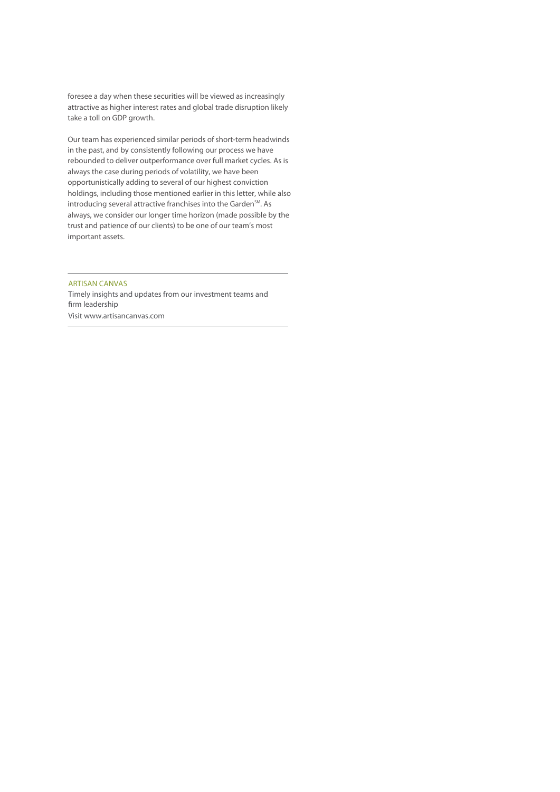foresee a day when these securities will be viewed as increasingly attractive as higher interest rates and global trade disruption likely take a toll on GDP growth.

Our team has experienced similar periods of short-term headwinds in the past, and by consistently following our process we have rebounded to deliver outperformance over full market cycles. As is always the case during periods of volatility, we have been opportunistically adding to several of our highest conviction holdings, including those mentioned earlier in this letter, while also introducing several attractive franchises into the Garden<sup>SM</sup>. As always, we consider our longer time horizon (made possible by the trust and patience of our clients) to be one of our team's most important assets.

# ARTISAN CANVAS

Timely insights and updates from our investment teams and firm leadership Visit www.artisancanvas.com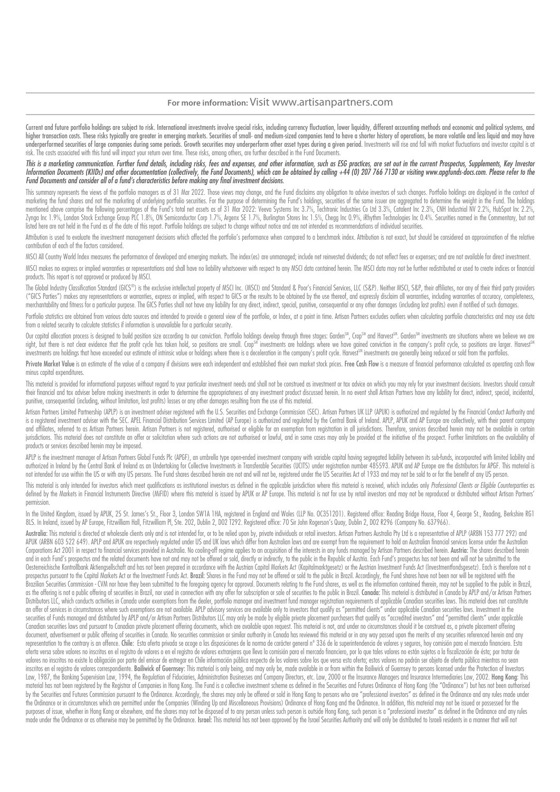## **For more information:** Visit www.artisanpartners.com

Current and future portfolio holdinas are subiect to risk. International investments involve special risks, includina currency fluctuation, lower liquidity, different accountina methods and economic and political systems, higher transaction costs. These risks typically are greater in emerging markets. Securities of small- and medium-sized companies tend to have a shorter history of operations, be more volatile and less liquid and may have underperformed securities of large companies during some periods. Growth securities may underperform other asset types during a given period. Investments will rise and fall with market fluctuations and investor capital is risk. The costs associated with this fund will impact your return over time. These risks, among others, are further described in the Fund Documents.

### This is a marketing communication. Further fund details, including risks, fees and expenses, and other information, such as ESG practices, are set out in the current Prospectus, Supplements, Key Investor Information Documents (KIIDs) and other documentation (collectively, the Fund Documents), which can be obtained by calling +44 (0) 207 766 7130 or visiting www.apgfunds-docs.com. Please refer to the Fund Documents and consider all of a fund's characteristics before making any final investment decisions.

This summary represents the views of the portfolio managers as of 31 Mar 2022. Those views may change, and the Fund disclaims any obligation to advise investors of such changes. Portfolio holdings are displayed in the cont marketing the fund shares and not the marketing of underlying portfolio securities. For the purpose of determining the Fund's holdings, securities of the same issuer are aggregated to determine the weight in the Fund. The mentioned above comprise the following percentages of the Fund's total net assets as of 31 Mar 2022: Veeva Systems Inc 3.7%, Techtronic Industries Co Ltd 3.3%, Catalent Inc 2.3%, CNH Industrial NV 2.2%, HubSpot Inc 2.2%, Zynga Inc 1.9%, London Stock Exchange Group PLC 1.8%, ON Semiconductor Corp 1.7%, Argenx SE 1.7%, Burlington Stores Inc 1.5%, Chegg Inc 0.9%, iRhythm Technologies Inc 0.4%. Securities named in the Commentary, but not listed here are not held in the Fund as of the date of this report. Portfolio holdings are subject to change without notice and are not intended as recommendations of individual securities.

Attribution is used to evaluate the investment management decisions which affected the portfolio's performance when compared to a benchmark index. Attribution is not exact, but should be considered an approximation of the contribution of each of the factors considered.

MSCI All Country World Index measures the performance of developed and emerging markets. The index(es) are unmanaged; include net reinvested dividends; do not reflect fees or expenses; and are not available for direct inve

MSCI makes no express or implied warranties or representations and shall have no liability whatsoever with respect to any MSCI data contained herein. The MSCI data may not be further redistributed or used to create indices products. This report is not approved or produced by MSCI.

The Global Industry Classification Standard (GICS®) is the exclusive intellectual property of MSCI Inc. (MSCI) and Standard & Poor's Financial Services, LLC (S&P). Neither MSCI, S&P, their affiliates, nor any of their thir ("GICS Parties") makes any representations or warranties express or implied with respect to GICS or the results to be obtained by the use thereof and expressly disclaim all warranties including warranties of accuracy compl merchantability and fitness for a particular purpose. The GICS Parties shall not have any liability for any direct, indirect, special, punitive, consequential or any other damages (including lost profits) even if notified

Portfolio statistics are obtained from various data sources and intended to provide a general view of the portfolio, or Index, at a point in time. Artisan Partners excludes outliers when calculating portfolio characteristi from a related security to calculate statistics if information is unavailable for a particular security.

Our capital allocation process is designed to build position size according to our conviction. Portfolio holdings develop through three stages: Garden<sup>SM</sup>, Crop<sup>SM</sup> and Harvest<sup>SM</sup>. Garden<sup>SM</sup> investments are situations wh right, but there is not clear evidence that the profit cycle has taken hold, so positions are small. Crop<sup>sm</sup> investments are holdings where we have gained conviction in the company's profit cycle, so positions are larger. investments are holdings that have exceeded our estimate of intrinsic value or holdings where there is a deceleration in the company's profit cycle. Harvest® investments are generally being reduced or sold from the portfol

Private Market Value is an estimate of the value of a company if divisions were each independent and established their own market stock prices. Free Cash Flow is a measure of financial performance calculated as operating c minus capital expenditures.

This material is provided for informational purposes without regard to your particular investment needs and shall not be construed as investment or tax advice on which you may rely for your investment decisions. Investors their financial and tax adviser before making investments in order to determine the appropriateness of any investment product discussed herein. In no event shall Artisan Partners have any liability for direct, indirect, sp punitive, consequential (including, without limitation, lost profits) losses or any other damages resulting from the use of this material.

Artisan Partners Limited Partnership (APLP) is an investment adviser registered with the U.S. Securities and Exchange Commission (SEC). Artisan Partners UK LLP (APUK) is authorized and regulated by the Financial Conduct Au is a registered investment adviser with the SEC. APEL Financial Distribution Services Limited (AP Europe) is authorized and regulated by the Central Bank of Ireland. APLP, APUK and AP Europe are collectively, with their pa and affiliates, referred to as Artisan Partners herein. Artisan Partners is not registered, authorised or eligible for an exemption from registration in all jurisdictions. Therefore, services described herein may not be av jurisdictions. This material does not constitute an offer or solicitation where such actions are not authorised or lawful, and in some cases may only be provided at the initiative of the prospect. Further limitations on th products or services described herein may be imposed.

APLP is the investment manager of Artisan Partners Global Funds Plc (APGF), an umbrella type open-ended investment company with variable capital having segregated liability between its sub-funds, incorporated with limited authorized in Ireland by the Central Bank of Ireland as an Undertaking for Collective Investments in Transferable Securities (UCITS) under registration number 485593. APUK and AP Europe are the distributors for APGF. This not intended for use within the US or with any US persons. The Fund shares described herein are not and will not be, registered under the US Securities Act of 1933 and may not be sold to or for the benefit of any US person

This material is only intended for investors which meet qualifications as institutional investors as defined in the applicable jurisdiction where this material is received, which includes only Professional Clients or Eligi defined by the Markets in Financial Instruments Directive (MiFID) where this material is issued by APUK or AP Europe. This material is not for use by retail investors and may not be reproduced or distributed without Artisa permission.

In the United Kingdom, issued by APUK, 25 St. James's St., Floor 3, London SW1A 1HA, registered in England and Wales (LLP No. OC351201). Registered office: Reading Bridge House, Floor 4, George St., Reading, Berkshire RG1 8LS. In Ireland, issued by AP Europe, Fitzwilliam Hall, Fitzwilliam Pl, Ste. 202, Dublin 2, D02 T292. Registered office: 70 Sir John Rogerson's Quay, Dublin 2, D02 R296 (Company No. 637966).

Australia: This material is directed at wholesale clients only and is not intended for, or to be relied upon by, private individuals or retail investors. Artisan Partners Australia Pty Ltd is a representative of APLP (ARBN APUK (ARBN 603 522 649). APLP and APUK are respectively regulated under US and UK laws which differ from Australian laws and are exempt from the requirement to hold an Australian financial services license under the Austra Corporations Act 2001 in respect to financial services provided in Australia. No cooling-off regime applies to an acquisition of the interests in any funds managed by Artisan Partners described herein. Austria: The shares and in each Fund's prospectus and the related documents have not and may not be offered or sold, directly or indirectly, to the public in the Republic of Austria. Each Fund's prospectus has not been and will not be submitt Oesterreichische Kontrollbank Aktiengsellschaft and has not been prepared in accordance with the Austrian Capital Markets Act (Kapitalmarktgesetz) or the Austrian Investment Funds Act (Investmentfondsgesetz). Each is there prospectus pursuant to the Capital Markets Act or the Investment Funds Act. Brazil: Shares in the Fund may not be offered or sold to the public in Brazil. Accordinaly, the Fund shares have not been nor will be registered w Brazilian Securities Commission - CVM nor have they been submitted to the foreaoing gaency for goproval. Documents relating to the Fund shares, as well as the information contained therein, may not be supplied to the publi as the offering is not a public offering of securities in Brazil, nor used in connection with any offer for subscription or sale of securities to the public in Brazil. Canada: This material is distributed in Canada by APLP Distributors LLC, which conducts activities in Canada under exemptions from the dealer, portfolio manager and investment fund manager registration requirements of applicable Canadian securities laws. This material does not an offer of services in circumstances where such exemptions are not available. APLP advisory services are available only to investors that qualify as "permitted clients" under applicable Canadian securities laws. Investmen securities of Funds managed and distributed by APLP and/or Artisan Partners Distributors LLC may only be made by eligible private placement purchasers that qualify as "accredited investors" and "permitted clients" under ap Canadian securities laws and pursuant to Canadian private placement offering documents, which are available upon request. This material is not, and under no circumstances should it be construed as, a private placement offe document, advertisement or public offering of securities in Canada. No securities commission or similar authority in Canada has reviewed this material or in any way passed upon the merits of any securities referenced herei representation to the contrary is an offence. Chile: Esta oferta privada se acoge a las disposiciones de la norma de carácter general nº 336 de la superintendencia de valores y seguros, hoy comisión para el mercado financi oferta versa sobre valores no inscritos en el registro de valores o en el registro de valores extranjeros que lleva la comisión para el mercado financiero, por lo que tales valores no están sujetos a la fiscalización de és valores no inscritos no existe la obligación por parte del emisor de entregar en Chile información pública respecto de los valores sobre los que versa esta oferta: estos valores no podrán ser obieto de oferta pública mient inscritos en el registro de valores correspondiente. Bailiwick of Guernsey: This material is only being, and may only be, made available in or from within the Bailiwick of Guernsey to persons licensed under the Protection Law, 1987, the Banking Supervision Law, 1994, the Regulation of Fiduciaries, Administration Businesses and Company Directors, etc. Law, 2000 or the Insurance Managers and Insurance Intermediaries Law, 2002. Hong Kong: This material has not been registered by the Registrar of Companies in Hong Kong. The Fund is a collective investment scheme as defined in the Securities and Futures Ordinance of Hong Kong (the "Ordinance") but has not been aut by the Securities and Futures Commission pursuant to the Ordinance. Accordingly, the shares may only be offered or sold in Hong Kong to persons who are "professional investors" as defined in the Ordinance and any rules mad the Ordinance or in circumstances which are permitted under the Companies (Winding Up and Miscellaneous Provisions) Ordinance of Hong Kong and the Ordinance. In addition, this material may not be issued or possessed for the purposes of issue, whether in Hong Kong or elsewhere, and the shares may not be disposed of to any person unless such person is outside Hong Kong, such person is a "professional investor" as defined in the Ordinance and an made under the Ordinance or as otherwise may be permitted by the Ordinance. Israel: This material has not been approved by the Israel Securities Authority and will only be distributed to Israeli residents in a manner that